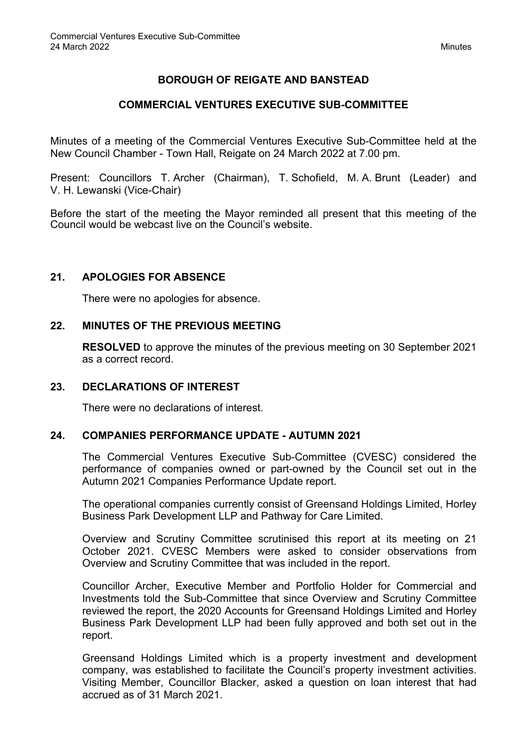# **BOROUGH OF REIGATE AND BANSTEAD**

### **COMMERCIAL VENTURES EXECUTIVE SUB-COMMITTEE**

Minutes of a meeting of the Commercial Ventures Executive Sub-Committee held at the New Council Chamber - Town Hall, Reigate on 24 March 2022 at 7.00 pm.

Present: Councillors T. Archer (Chairman), T. Schofield, M. A. Brunt (Leader) and V. H. Lewanski (Vice-Chair)

Before the start of the meeting the Mayor reminded all present that this meeting of the Council would be webcast live on the Council's website.

#### **21. APOLOGIES FOR ABSENCE**

There were no apologies for absence.

#### **22. MINUTES OF THE PREVIOUS MEETING**

**RESOLVED** to approve the minutes of the previous meeting on 30 September 2021 as a correct record.

#### **23. DECLARATIONS OF INTEREST**

There were no declarations of interest.

#### **24. COMPANIES PERFORMANCE UPDATE - AUTUMN 2021**

The Commercial Ventures Executive Sub-Committee (CVESC) considered the performance of companies owned or part-owned by the Council set out in the Autumn 2021 Companies Performance Update report.

The operational companies currently consist of Greensand Holdings Limited, Horley Business Park Development LLP and Pathway for Care Limited.

Overview and Scrutiny Committee scrutinised this report at its meeting on 21 October 2021. CVESC Members were asked to consider observations from Overview and Scrutiny Committee that was included in the report.

Councillor Archer, Executive Member and Portfolio Holder for Commercial and Investments told the Sub-Committee that since Overview and Scrutiny Committee reviewed the report, the 2020 Accounts for Greensand Holdings Limited and Horley Business Park Development LLP had been fully approved and both set out in the report.

Greensand Holdings Limited which is a property investment and development company, was established to facilitate the Council's property investment activities. Visiting Member, Councillor Blacker, asked a question on loan interest that had accrued as of 31 March 2021.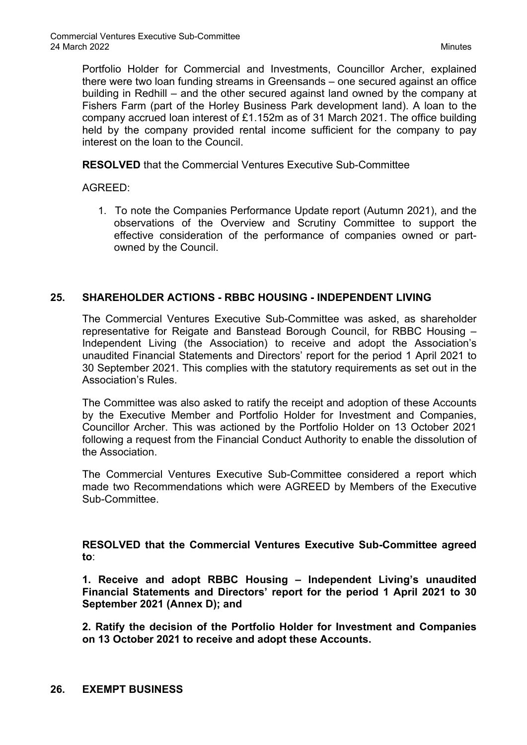Portfolio Holder for Commercial and Investments, Councillor Archer, explained there were two loan funding streams in Greensands – one secured against an office building in Redhill – and the other secured against land owned by the company at Fishers Farm (part of the Horley Business Park development land). A loan to the company accrued loan interest of £1.152m as of 31 March 2021. The office building held by the company provided rental income sufficient for the company to pay interest on the loan to the Council.

**RESOLVED** that the Commercial Ventures Executive Sub-Committee

AGREED:

1. To note the Companies Performance Update report (Autumn 2021), and the observations of the Overview and Scrutiny Committee to support the effective consideration of the performance of companies owned or partowned by the Council.

## **25. SHAREHOLDER ACTIONS - RBBC HOUSING - INDEPENDENT LIVING**

The Commercial Ventures Executive Sub-Committee was asked, as shareholder representative for Reigate and Banstead Borough Council, for RBBC Housing – Independent Living (the Association) to receive and adopt the Association's unaudited Financial Statements and Directors' report for the period 1 April 2021 to 30 September 2021. This complies with the statutory requirements as set out in the Association's Rules.

The Committee was also asked to ratify the receipt and adoption of these Accounts by the Executive Member and Portfolio Holder for Investment and Companies, Councillor Archer. This was actioned by the Portfolio Holder on 13 October 2021 following a request from the Financial Conduct Authority to enable the dissolution of the Association.

The Commercial Ventures Executive Sub-Committee considered a report which made two Recommendations which were AGREED by Members of the Executive Sub-Committee.

**RESOLVED that the Commercial Ventures Executive Sub-Committee agreed to**:

**1. Receive and adopt RBBC Housing – Independent Living's unaudited Financial Statements and Directors' report for the period 1 April 2021 to 30 September 2021 (Annex D); and**

**2. Ratify the decision of the Portfolio Holder for Investment and Companies on 13 October 2021 to receive and adopt these Accounts.**